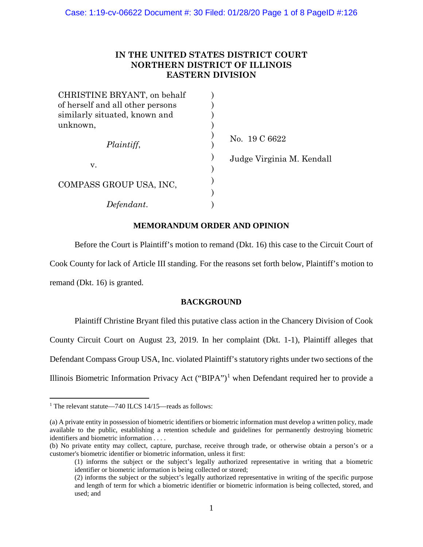# **IN THE UNITED STATES DISTRICT COURT NORTHERN DISTRICT OF ILLINOIS EASTERN DIVISION**

| CHRISTINE BRYANT, on behalf      |                           |  |
|----------------------------------|---------------------------|--|
| of herself and all other persons |                           |  |
| similarly situated, known and    |                           |  |
| unknown,                         |                           |  |
| Plaintiff,                       | No. 19 C 6622             |  |
| v.                               | Judge Virginia M. Kendall |  |
| COMPASS GROUP USA, INC,          |                           |  |
| Defendant.                       |                           |  |

## **MEMORANDUM ORDER AND OPINION**

Before the Court is Plaintiff's motion to remand (Dkt. 16) this case to the Circuit Court of Cook County for lack of Article III standing. For the reasons set forth below, Plaintiff's motion to remand (Dkt. 16) is granted.

## **BACKGROUND**

Plaintiff Christine Bryant filed this putative class action in the Chancery Division of Cook

County Circuit Court on August 23, 2019. In her complaint (Dkt. 1-1), Plaintiff alleges that

Defendant Compass Group USA, Inc. violated Plaintiff's statutory rights under two sections of the

Illinois Biometric Information Privacy Act ("BIPA")<sup>[1](#page-0-0)</sup> when Defendant required her to provide a

<span id="page-0-0"></span><sup>&</sup>lt;sup>1</sup> The relevant statute—740 ILCS 14/15—reads as follows:

<sup>(</sup>a) A private entity in possession of biometric identifiers or biometric information must develop a written policy, made available to the public, establishing a retention schedule and guidelines for permanently destroying biometric identifiers and biometric information . . . .

<sup>(</sup>b) No private entity may collect, capture, purchase, receive through trade, or otherwise obtain a person's or a customer's biometric identifier or biometric information, unless it first:

<sup>(1)</sup> informs the subject or the subject's legally authorized representative in writing that a biometric identifier or biometric information is being collected or stored;

<sup>(2)</sup> informs the subject or the subject's legally authorized representative in writing of the specific purpose and length of term for which a biometric identifier or biometric information is being collected, stored, and used; and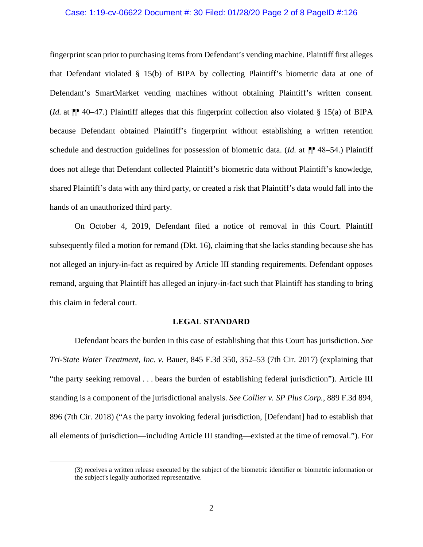## Case: 1:19-cv-06622 Document #: 30 Filed: 01/28/20 Page 2 of 8 PageID #:126

fingerprint scan prior to purchasing items from Defendant's vending machine. Plaintiff first alleges that Defendant violated § 15(b) of BIPA by collecting Plaintiff's biometric data at one of Defendant's SmartMarket vending machines without obtaining Plaintiff's written consent. (*Id.* at  $\mathbb{P}$  40–47.) Plaintiff alleges that this fingerprint collection also violated § 15(a) of BIPA because Defendant obtained Plaintiff's fingerprint without establishing a written retention schedule and destruction guidelines for possession of biometric data. (*Id.* at  $\mathbb{P}$  48–54.) Plaintiff does not allege that Defendant collected Plaintiff's biometric data without Plaintiff's knowledge, shared Plaintiff's data with any third party, or created a risk that Plaintiff's data would fall into the hands of an unauthorized third party.

On October 4, 2019, Defendant filed a notice of removal in this Court. Plaintiff subsequently filed a motion for remand (Dkt. 16), claiming that she lacks standing because she has not alleged an injury-in-fact as required by Article III standing requirements. Defendant opposes remand, arguing that Plaintiff has alleged an injury-in-fact such that Plaintiff has standing to bring this claim in federal court.

### **LEGAL STANDARD**

Defendant bears the burden in this case of establishing that this Court has jurisdiction. *See Tri-State Water Treatment, Inc. v.* Bauer, 845 F.3d 350, 352–53 (7th Cir. 2017) (explaining that "the party seeking removal . . . bears the burden of establishing federal jurisdiction"). Article III standing is a component of the jurisdictional analysis. *See Collier v. SP Plus Corp.*, 889 F.3d 894, 896 (7th Cir. 2018) ("As the party invoking federal jurisdiction, [Defendant] had to establish that all elements of jurisdiction—including Article III standing—existed at the time of removal."). For

 <sup>(3)</sup> receives a written release executed by the subject of the biometric identifier or biometric information or the subject's legally authorized representative.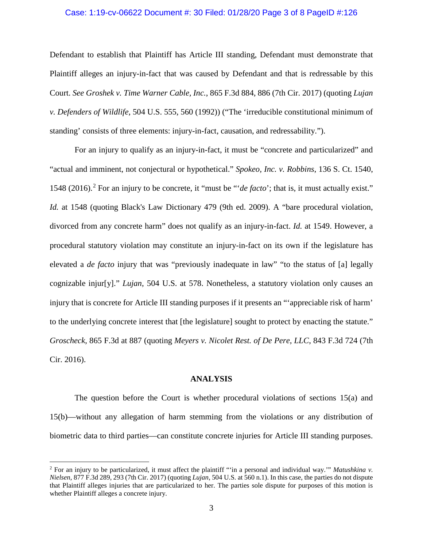### Case: 1:19-cv-06622 Document #: 30 Filed: 01/28/20 Page 3 of 8 PageID #:126

Defendant to establish that Plaintiff has Article III standing, Defendant must demonstrate that Plaintiff alleges an injury-in-fact that was caused by Defendant and that is redressable by this Court. *See Groshek v. Time Warner Cable, Inc.*, 865 F.3d 884, 886 (7th Cir. 2017) (quoting *Lujan v. Defenders of Wildlife*, 504 U.S. 555, 560 (1992)) ("The 'irreducible constitutional minimum of standing' consists of three elements: injury-in-fact, causation, and redressability.").

For an injury to qualify as an injury-in-fact, it must be "concrete and particularized" and "actual and imminent, not conjectural or hypothetical." *Spokeo, Inc. v. Robbins*, 136 S. Ct. 1540, 1548 (2016). [2](#page-2-0) For an injury to be concrete, it "must be "'*de facto*'; that is, it must actually exist." *Id.* at 1548 (quoting Black's Law Dictionary 479 (9th ed. 2009). A "bare procedural violation, divorced from any concrete harm" does not qualify as an injury-in-fact. *Id.* at 1549. However, a procedural statutory violation may constitute an injury-in-fact on its own if the legislature has elevated a *de facto* injury that was "previously inadequate in law" "to the status of [a] legally cognizable injur[y]." *Lujan*, 504 U.S. at 578. Nonetheless, a statutory violation only causes an injury that is concrete for Article III standing purposes if it presents an "'appreciable risk of harm' to the underlying concrete interest that [the legislature] sought to protect by enacting the statute." *Groscheck*, 865 F.3d at 887 (quoting *Meyers v. Nicolet Rest. of De Pere, LLC*, 843 F.3d 724 (7th Cir. 2016).

#### **ANALYSIS**

The question before the Court is whether procedural violations of sections 15(a) and 15(b)—without any allegation of harm stemming from the violations or any distribution of biometric data to third parties—can constitute concrete injuries for Article III standing purposes.

<span id="page-2-0"></span> <sup>2</sup> For an injury to be particularized, it must affect the plaintiff "'in a personal and individual way.'" *Matushkina v. Nielsen*, 877 F.3d 289, 293 (7th Cir. 2017) (quoting *Lujan*, 504 U.S. at 560 n.1). In this case, the parties do not dispute that Plaintiff alleges injuries that are particularized to her. The parties sole dispute for purposes of this motion is whether Plaintiff alleges a concrete injury.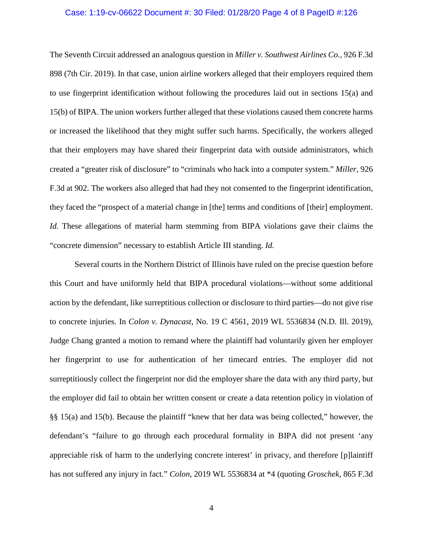### Case: 1:19-cv-06622 Document #: 30 Filed: 01/28/20 Page 4 of 8 PageID #:126

The Seventh Circuit addressed an analogous question in *Miller v. Southwest Airlines Co.*, 926 F.3d 898 (7th Cir. 2019). In that case, union airline workers alleged that their employers required them to use fingerprint identification without following the procedures laid out in sections 15(a) and 15(b) of BIPA. The union workers further alleged that these violations caused them concrete harms or increased the likelihood that they might suffer such harms. Specifically, the workers alleged that their employers may have shared their fingerprint data with outside administrators, which created a "greater risk of disclosure" to "criminals who hack into a computer system." *Miller*, 926 F.3d at 902. The workers also alleged that had they not consented to the fingerprint identification, they faced the "prospect of a material change in [the] terms and conditions of [their] employment. *Id.* These allegations of material harm stemming from BIPA violations gave their claims the "concrete dimension" necessary to establish Article III standing. *Id.*

Several courts in the Northern District of Illinois have ruled on the precise question before this Court and have uniformly held that BIPA procedural violations—without some additional action by the defendant, like surreptitious collection or disclosure to third parties—do not give rise to concrete injuries. In *Colon v. Dynacast*, No. 19 C 4561, 2019 WL 5536834 (N.D. Ill. 2019), Judge Chang granted a motion to remand where the plaintiff had voluntarily given her employer her fingerprint to use for authentication of her timecard entries. The employer did not surreptitiously collect the fingerprint nor did the employer share the data with any third party, but the employer did fail to obtain her written consent or create a data retention policy in violation of §§ 15(a) and 15(b). Because the plaintiff "knew that her data was being collected," however, the defendant's "failure to go through each procedural formality in BIPA did not present 'any appreciable risk of harm to the underlying concrete interest' in privacy, and therefore [p]laintiff has not suffered any injury in fact." *Colon*, 2019 WL 5536834 at \*4 (quoting *Groschek*, 865 F.3d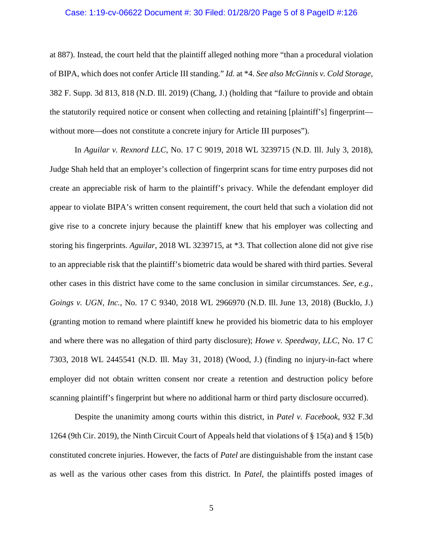### Case: 1:19-cv-06622 Document #: 30 Filed: 01/28/20 Page 5 of 8 PageID #:126

at 887). Instead, the court held that the plaintiff alleged nothing more "than a procedural violation of BIPA, which does not confer Article III standing." *Id.* at \*4. *See also McGinnis v. Cold Storage*, 382 F. Supp. 3d 813, 818 (N.D. Ill. 2019) (Chang, J.) (holding that "failure to provide and obtain the statutorily required notice or consent when collecting and retaining [plaintiff's] fingerprint without more—does not constitute a concrete injury for Article III purposes").

In *Aguilar v. Rexnord LLC*, No. 17 C 9019, 2018 WL 3239715 (N.D. Ill. July 3, 2018), Judge Shah held that an employer's collection of fingerprint scans for time entry purposes did not create an appreciable risk of harm to the plaintiff's privacy. While the defendant employer did appear to violate BIPA's written consent requirement, the court held that such a violation did not give rise to a concrete injury because the plaintiff knew that his employer was collecting and storing his fingerprints. *Aguilar*, 2018 WL 3239715, at \*3. That collection alone did not give rise to an appreciable risk that the plaintiff's biometric data would be shared with third parties. Several other cases in this district have come to the same conclusion in similar circumstances. *See, e.g.*, *Goings v. UGN, Inc.*, No. 17 C 9340, 2018 WL 2966970 (N.D. Ill. June 13, 2018) (Bucklo, J.) (granting motion to remand where plaintiff knew he provided his biometric data to his employer and where there was no allegation of third party disclosure); *Howe v. Speedway, LLC*, No. 17 C 7303, 2018 WL 2445541 (N.D. Ill. May 31, 2018) (Wood, J.) (finding no injury-in-fact where employer did not obtain written consent nor create a retention and destruction policy before scanning plaintiff's fingerprint but where no additional harm or third party disclosure occurred).

Despite the unanimity among courts within this district, in *Patel v. Facebook*, 932 F.3d 1264 (9th Cir. 2019), the Ninth Circuit Court of Appeals held that violations of § 15(a) and § 15(b) constituted concrete injuries. However, the facts of *Patel* are distinguishable from the instant case as well as the various other cases from this district. In *Patel*, the plaintiffs posted images of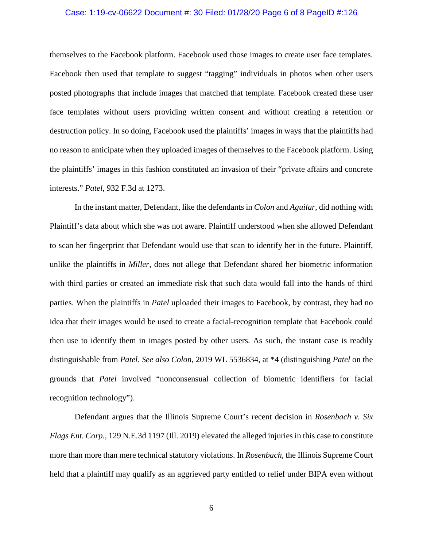#### Case: 1:19-cv-06622 Document #: 30 Filed: 01/28/20 Page 6 of 8 PageID #:126

themselves to the Facebook platform. Facebook used those images to create user face templates. Facebook then used that template to suggest "tagging" individuals in photos when other users posted photographs that include images that matched that template. Facebook created these user face templates without users providing written consent and without creating a retention or destruction policy. In so doing, Facebook used the plaintiffs' images in ways that the plaintiffs had no reason to anticipate when they uploaded images of themselves to the Facebook platform. Using the plaintiffs' images in this fashion constituted an invasion of their "private affairs and concrete interests." *Patel*, 932 F.3d at 1273.

In the instant matter, Defendant, like the defendants in *Colon* and *Aguilar*, did nothing with Plaintiff's data about which she was not aware. Plaintiff understood when she allowed Defendant to scan her fingerprint that Defendant would use that scan to identify her in the future. Plaintiff, unlike the plaintiffs in *Miller*, does not allege that Defendant shared her biometric information with third parties or created an immediate risk that such data would fall into the hands of third parties. When the plaintiffs in *Patel* uploaded their images to Facebook, by contrast, they had no idea that their images would be used to create a facial-recognition template that Facebook could then use to identify them in images posted by other users. As such, the instant case is readily distinguishable from *Patel*. *See also Colon*, 2019 WL 5536834, at \*4 (distinguishing *Patel* on the grounds that *Patel* involved "nonconsensual collection of biometric identifiers for facial recognition technology").

Defendant argues that the Illinois Supreme Court's recent decision in *Rosenbach v. Six Flags Ent. Corp.*, 129 N.E.3d 1197 (Ill. 2019) elevated the alleged injuries in this case to constitute more than more than mere technical statutory violations. In *Rosenbach,* the Illinois Supreme Court held that a plaintiff may qualify as an aggrieved party entitled to relief under BIPA even without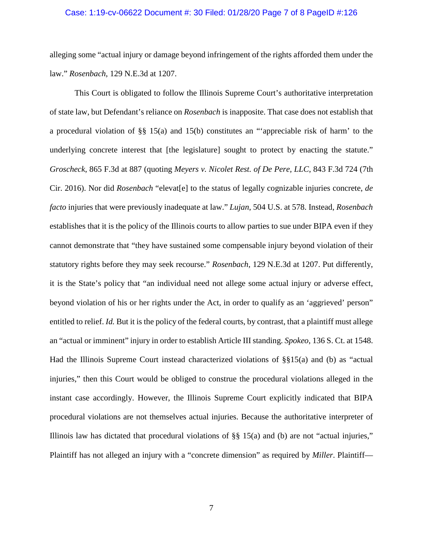#### Case: 1:19-cv-06622 Document #: 30 Filed: 01/28/20 Page 7 of 8 PageID #:126

alleging some "actual injury or damage beyond infringement of the rights afforded them under the law." *Rosenbach*, 129 N.E.3d at 1207.

This Court is obligated to follow the Illinois Supreme Court's authoritative interpretation of state law, but Defendant's reliance on *Rosenbach* is inapposite. That case does not establish that a procedural violation of §§ 15(a) and 15(b) constitutes an "'appreciable risk of harm' to the underlying concrete interest that [the legislature] sought to protect by enacting the statute." *Groscheck*, 865 F.3d at 887 (quoting *Meyers v. Nicolet Rest. of De Pere, LLC*, 843 F.3d 724 (7th Cir. 2016). Nor did *Rosenbach* "elevat[e] to the status of legally cognizable injuries concrete, *de facto* injuries that were previously inadequate at law." *Lujan*, 504 U.S. at 578. Instead, *Rosenbach*  establishes that it is the policy of the Illinois courts to allow parties to sue under BIPA even if they cannot demonstrate that "they have sustained some compensable injury beyond violation of their statutory rights before they may seek recourse." *Rosenbach*, 129 N.E.3d at 1207. Put differently, it is the State's policy that "an individual need not allege some actual injury or adverse effect, beyond violation of his or her rights under the Act, in order to qualify as an 'aggrieved' person" entitled to relief. *Id.* But it is the policy of the federal courts, by contrast, that a plaintiff must allege an "actual or imminent" injury in order to establish Article III standing. *Spokeo*, 136 S. Ct. at 1548. Had the Illinois Supreme Court instead characterized violations of §§15(a) and (b) as "actual injuries," then this Court would be obliged to construe the procedural violations alleged in the instant case accordingly. However, the Illinois Supreme Court explicitly indicated that BIPA procedural violations are not themselves actual injuries. Because the authoritative interpreter of Illinois law has dictated that procedural violations of §§ 15(a) and (b) are not "actual injuries," Plaintiff has not alleged an injury with a "concrete dimension" as required by *Miller*. Plaintiff—